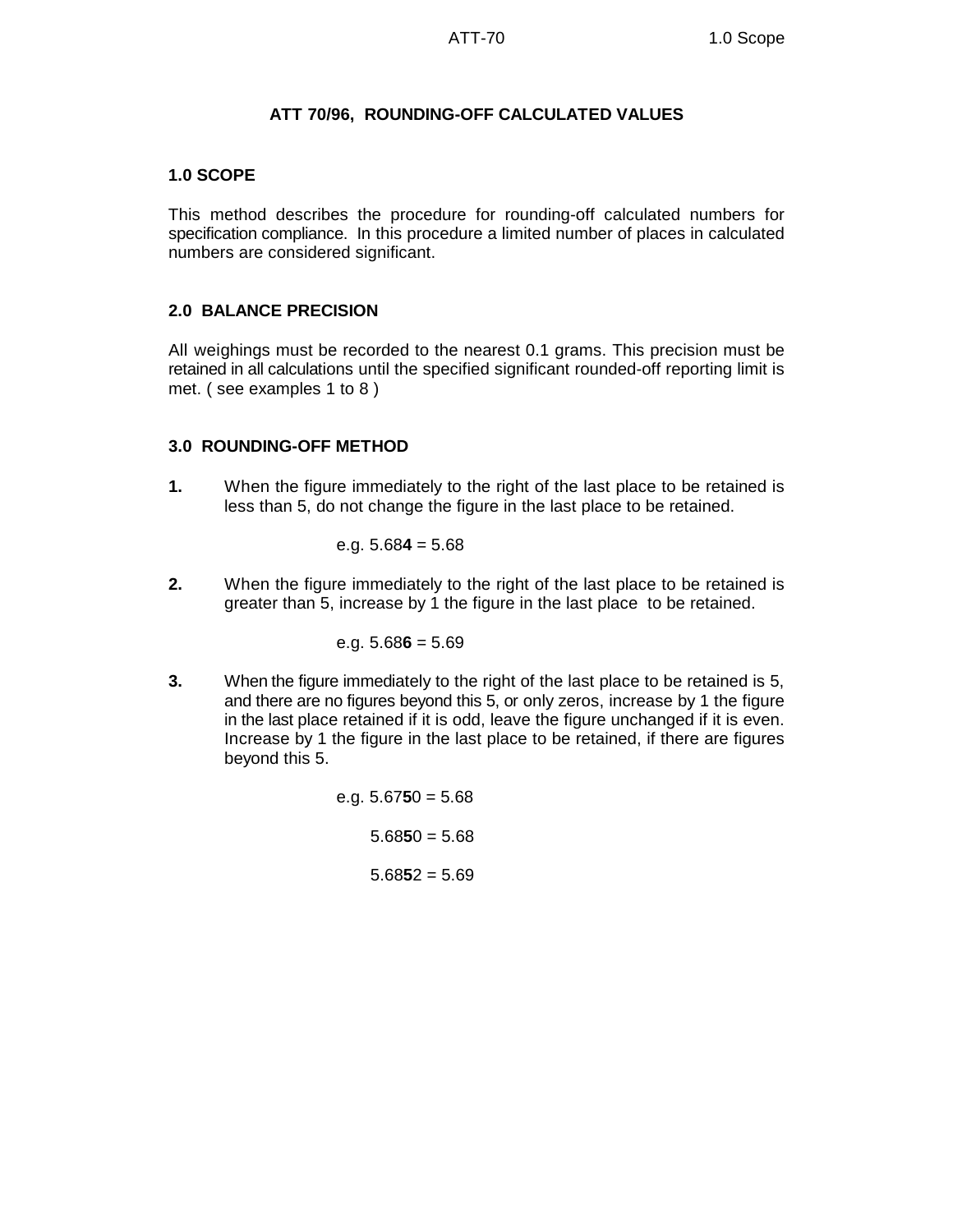### **ATT 70/96, ROUNDING-OFF CALCULATED VALUES**

## **1.0 SCOPE**

This method describes the procedure for rounding-off calculated numbers for specification compliance. In this procedure a limited number of places in calculated numbers are considered significant.

## **2.0 BALANCE PRECISION**

All weighings must be recorded to the nearest 0.1 grams. This precision must be retained in all calculations until the specified significant rounded-off reporting limit is met. ( see examples 1 to 8 )

## **3.0 ROUNDING-OFF METHOD**

**1.** When the figure immediately to the right of the last place to be retained is less than 5, do not change the figure in the last place to be retained.

e.g. 
$$
5.684 = 5.68
$$

**2.** When the figure immediately to the right of the last place to be retained is greater than 5, increase by 1 the figure in the last place to be retained.

#### e.g. 5.68**6** = 5.69

**3.** When the figure immediately to the right of the last place to be retained is 5, and there are no figures beyond this 5, or only zeros, increase by 1 the figure in the last place retained if it is odd, leave the figure unchanged if it is even. Increase by 1 the figure in the last place to be retained, if there are figures beyond this 5.

> e.g. 5.67**5**0 = 5.68 5.68**5**0 = 5.68 5.68**5**2 = 5.69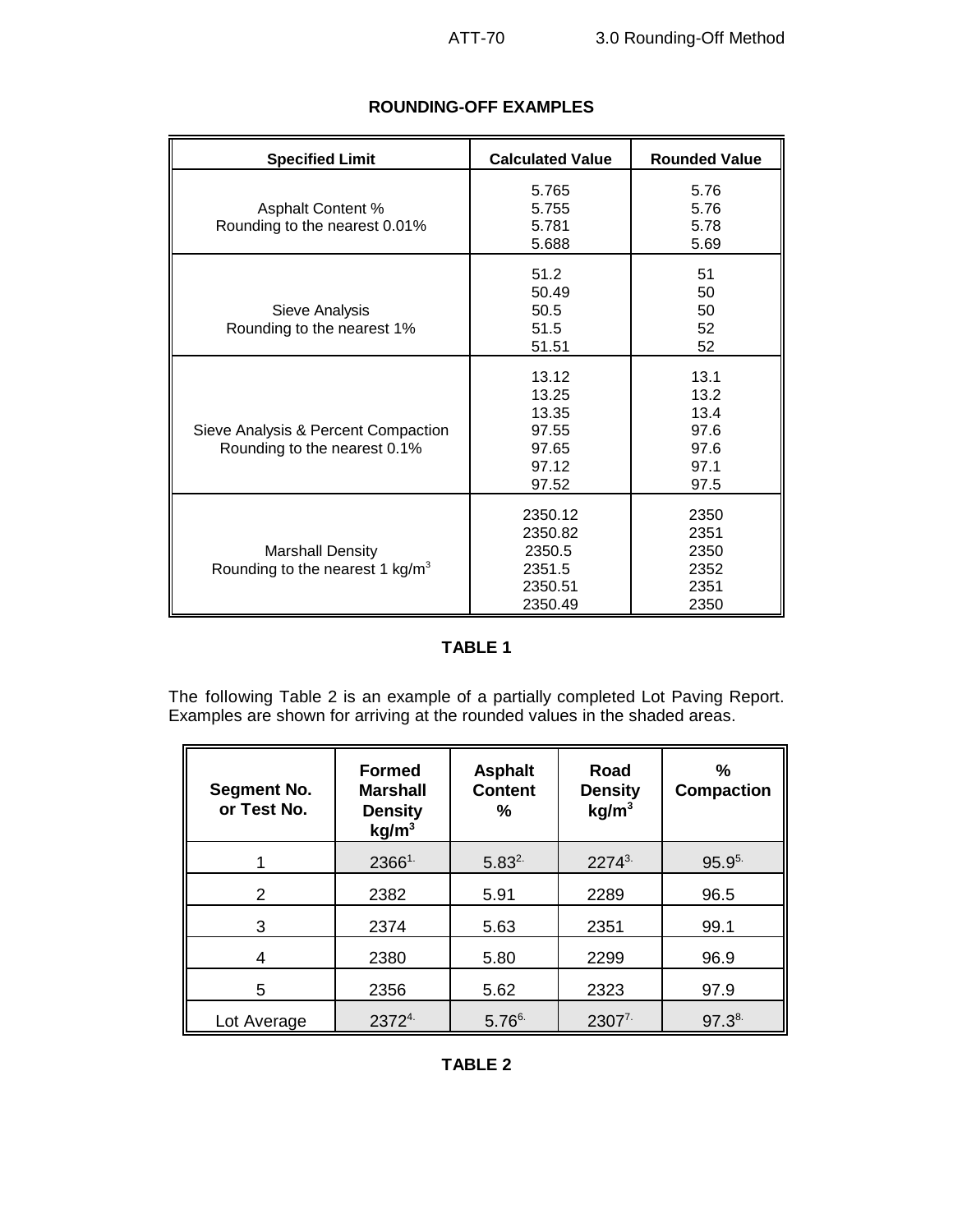| <b>Specified Limit</b>                                              | <b>Calculated Value</b>                                      | <b>Rounded Value</b>                                 |
|---------------------------------------------------------------------|--------------------------------------------------------------|------------------------------------------------------|
| <b>Asphalt Content %</b><br>Rounding to the nearest 0.01%           | 5.765<br>5.755<br>5.781<br>5.688                             | 5.76<br>5.76<br>5.78<br>5.69                         |
| Sieve Analysis<br>Rounding to the nearest 1%                        | 51.2<br>50.49<br>50.5<br>51.5<br>51.51                       | 51<br>50<br>50<br>52<br>52                           |
| Sieve Analysis & Percent Compaction<br>Rounding to the nearest 0.1% | 13.12<br>13.25<br>13.35<br>97.55<br>97.65<br>97.12<br>97.52  | 13.1<br>13.2<br>13.4<br>97.6<br>97.6<br>97.1<br>97.5 |
| <b>Marshall Density</b><br>Rounding to the nearest 1 kg/ $m3$       | 2350.12<br>2350.82<br>2350.5<br>2351.5<br>2350.51<br>2350.49 | 2350<br>2351<br>2350<br>2352<br>2351<br>2350         |

# **ROUNDING-OFF EXAMPLES**

# **TABLE 1**

The following Table 2 is an example of a partially completed Lot Paving Report. Examples are shown for arriving at the rounded values in the shaded areas.

| <b>Segment No.</b><br>or Test No. | <b>Formed</b><br><b>Marshall</b><br><b>Density</b><br>kg/m <sup>3</sup> | <b>Asphalt</b><br><b>Content</b><br>℅ | Road<br><b>Density</b><br>kg/m <sup>3</sup> | %<br><b>Compaction</b> |
|-----------------------------------|-------------------------------------------------------------------------|---------------------------------------|---------------------------------------------|------------------------|
|                                   | $2366^{1}$                                                              | $5.83^{2}$                            | $2274^{3}$                                  | $95.9^{5}$             |
| $\mathcal{P}$                     | 2382                                                                    | 5.91                                  | 2289                                        | 96.5                   |
| 3                                 | 2374                                                                    | 5.63                                  | 2351                                        | 99.1                   |
| 4                                 | 2380                                                                    | 5.80                                  | 2299                                        | 96.9                   |
| 5                                 | 2356                                                                    | 5.62                                  | 2323                                        | 97.9                   |
| Lot Average                       | 23724.                                                                  | $5.76^{6}$                            | $2307^7$                                    | $97.3^{8}$             |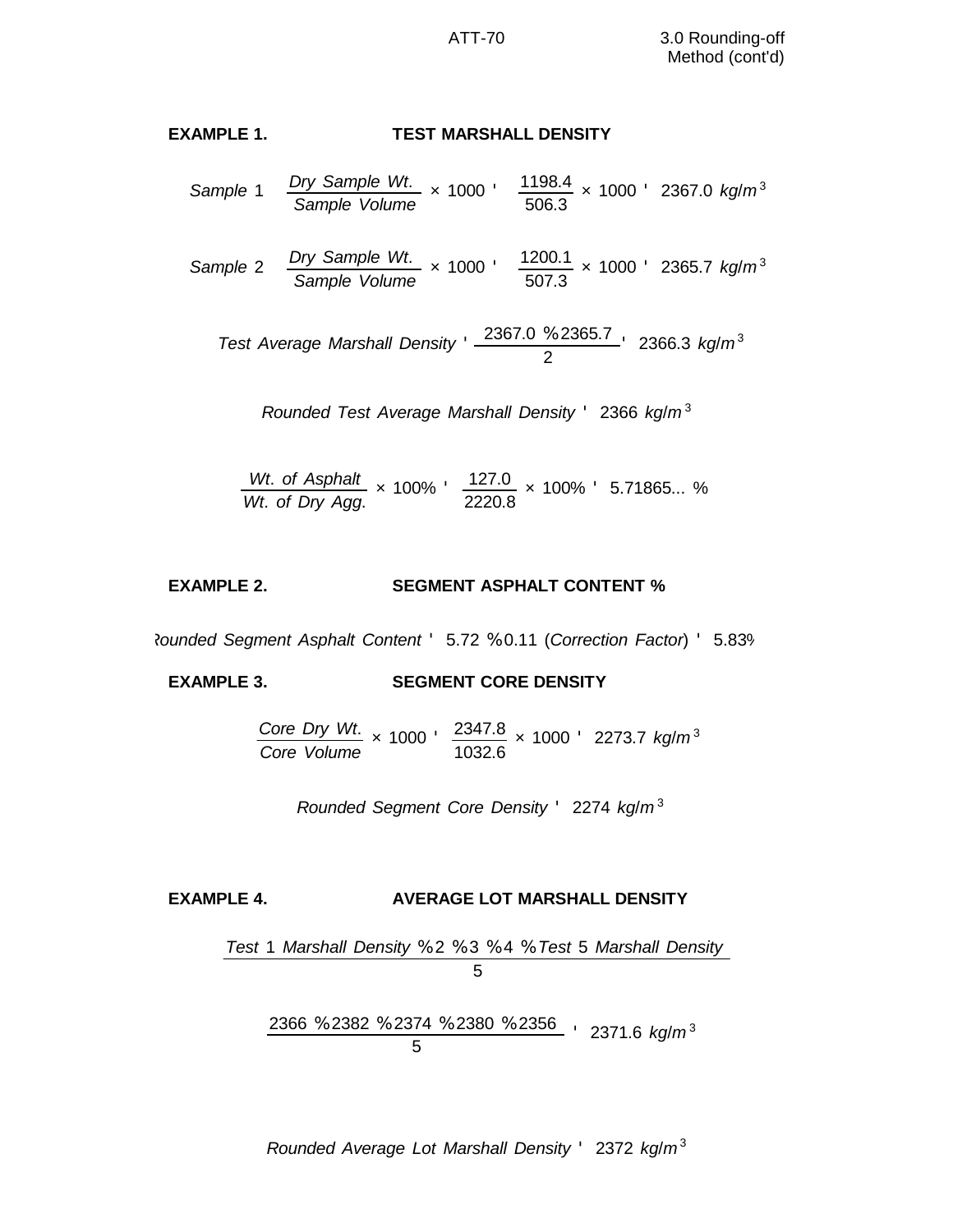# **EXAMPLE 1. TEST MARSHALL DENSITY**

- *Sample* 1 *Dry Sample Wt*. *Sample Volume*  $\times$  1000  $'$   $\frac{1198.4}{\cdots}$ 506.3 × 1000 ' 2367.0 *kg*/*m* <sup>3</sup>
- *Sample* 2 *Dry Sample Wt*. *Sample Volume*  $\times$  1000  $'$   $\frac{1200.1}{\sqrt{1200.1}}$ 507.3 × 1000 ' 2365.7 *kg*/*m* <sup>3</sup>

*Test Average Marshall Density* ' 2367.0 % 2365.7 2 ' 2366.3 *kg*/*m* <sup>3</sup>

Rounded Test Average Marshall Density 
$$
^{\prime}
$$
 2366 kg/m<sup>3</sup>

*Wt*. *of Asphalt Wt*. *of Dry Agg*.  $\times$  100%  $\frac{127.0}{222.0}$ 2220.8 × 100% ' 5.71865... %

#### **EXAMPLE 2. SEGMENT ASPHALT CONTENT %**

*Rounded Segment Asphalt Content* ' 5.72 % 0.11 (*Correction Factor*) ' 5.83%

**EXAMPLE 3. SEGMENT CORE DENSITY**

*Core Dry Wt*. *Core Volume*  $\times$  1000  $\cdot$  2347.8 1032.6 × 1000 ' 2273.7 *kg*/*m* <sup>3</sup>

*Rounded Segment Core Density* ' 2274 *kg*/*m* <sup>3</sup>

## **EXAMPLE 4. AVERAGE LOT MARSHALL DENSITY**

*Test* 1 *Marshall Density* % 2 % 3 % 4 % *Test* 5 *Marshall Density* 5

2366 % 2382 % 2374 % 2380 % 2356 5 ' 2371.6 *kg*/*m* <sup>3</sup>

*Rounded Average Lot Marshall Density* ' 2372 *kg*/*m* <sup>3</sup>